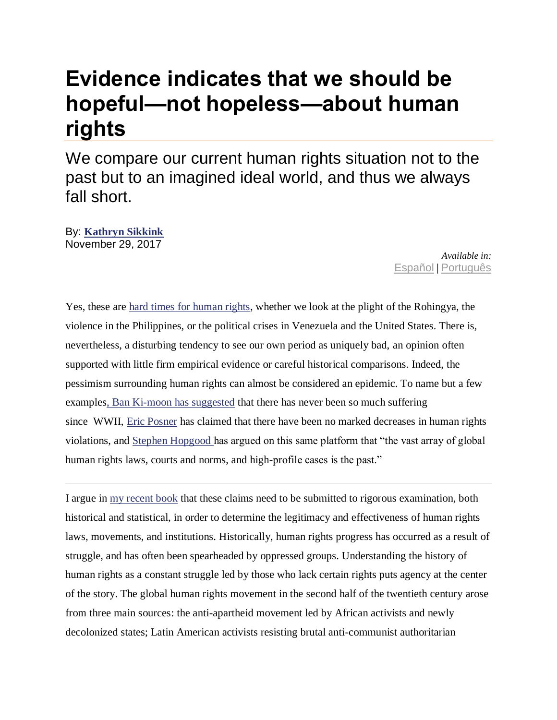## **Evidence indicates that we should be hopeful—not hopeless—about human rights**

We compare our current human rights situation not to the past but to an imagined ideal world, and thus we always fall short.

By: **[Kathryn Sikkink](https://www.openglobalrights.org/kathryn-sikkink/)** November 29, 2017

*Available in:* [Español](https://www.openglobalrights.org/evidence-indicates-that-we-should-be-hopeful-not-hopeless-about-human-rights/?lang=Spanish) | [Português](https://www.openglobalrights.org/evidence-indicates-that-we-should-be-hopeful-not-hopeless-about-human-rights/?lang=Portuguese)

Yes, these are [hard times for human rights,](https://www.openglobalrights.org/hard-times-for-human-rights/) whether we look at the plight of the Rohingya, the violence in the Philippines, or the political crises in Venezuela and the United States. There is, nevertheless, a disturbing tendency to see our own period as uniquely bad, an opinion often supported with little firm empirical evidence or careful historical comparisons. Indeed, the pessimism surrounding human rights can almost be considered an epidemic. To name but a few example[s, Ban Ki-moon has suggested](https://www.un.org/sg/en/content/sg/press-encounter/2016-05-24/secretary-generals-press-conference-president-erdogan-turkey) that there has never been so much suffering since WWII, [Eric Posner](https://www.openglobalrights.org/twilight-of-human-rights-law/) has claimed that there have been no marked decreases in human rights violations, and [Stephen Hopgood](https://www.openglobalrights.org/human-rights-past-their-sell-by-date/) [h](https://www.openglobalrights.org/Losing-the-Battle-for-Hearts-and-Minds/)as argued on this same platform that "the vast array of global human rights laws, courts and norms, and high-profile cases is the past."

I argue in [my recent book](https://press.princeton.edu/titles/11100.html) that these claims need to be submitted to rigorous examination, both historical and statistical, in order to determine the legitimacy and effectiveness of human rights laws, movements, and institutions. Historically, human rights progress has occurred as a result of struggle, and has often been spearheaded by oppressed groups. Understanding the history of human rights as a constant struggle led by those who lack certain rights puts agency at the center of the story. The global human rights movement in the second half of the twentieth century arose from three main sources: the anti-apartheid movement led by African activists and newly decolonized states; Latin American activists resisting brutal anti-communist authoritarian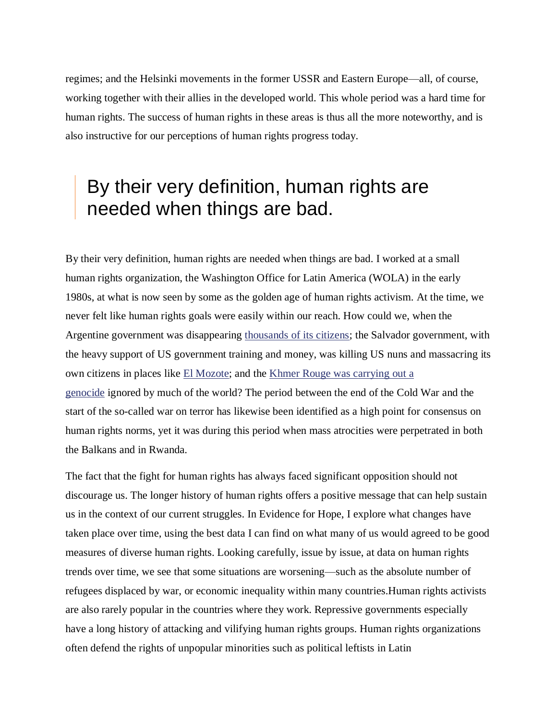regimes; and the Helsinki movements in the former USSR and Eastern Europe—all, of course, working together with their allies in the developed world. This whole period was a hard time for human rights. The success of human rights in these areas is thus all the more noteworthy, and is also instructive for our perceptions of human rights progress today.

## By their very definition, human rights are needed when things are bad.

By their very definition, human rights are needed when things are bad. I worked at a small human rights organization, the Washington Office for Latin America (WOLA) in the early 1980s, at what is now seen by some as the golden age of human rights activism. At the time, we never felt like human rights goals were easily within our reach. How could we, when the Argentine government was disappearing [thousands of its citizens;](https://www.theguardian.com/lifeandstyle/2014/dec/27/child-argentinas-disappeared-new-family-identity) the Salvador government, with the heavy support of US government training and money, was killing US nuns and massacring its own citizens in places like [El Mozote;](https://www.thenation.com/article/remembering-el-mozote-the-worst-massacre-in-modern-latin-american-history/) and the [Khmer Rouge was carrying out a](https://www.hmh.org/ed_genocide_cambodia.shtml)  [genocide](https://www.hmh.org/ed_genocide_cambodia.shtml) ignored by much of the world? The period between the end of the Cold War and the start of the so-called war on terror has likewise been identified as a high point for consensus on human rights norms, yet it was during this period when mass atrocities were perpetrated in both the Balkans and in Rwanda.

The fact that the fight for human rights has always faced significant opposition should not discourage us. The longer history of human rights offers a positive message that can help sustain us in the context of our current struggles. In Evidence for Hope, I explore what changes have taken place over time, using the best data I can find on what many of us would agreed to be good measures of diverse human rights. Looking carefully, issue by issue, at data on human rights trends over time, we see that some situations are worsening—such as the absolute number of refugees displaced by war, or economic inequality within many countries.Human rights activists are also rarely popular in the countries where they work. Repressive governments especially have a long history of attacking and vilifying human rights groups. Human rights organizations often defend the rights of unpopular minorities such as political leftists in Latin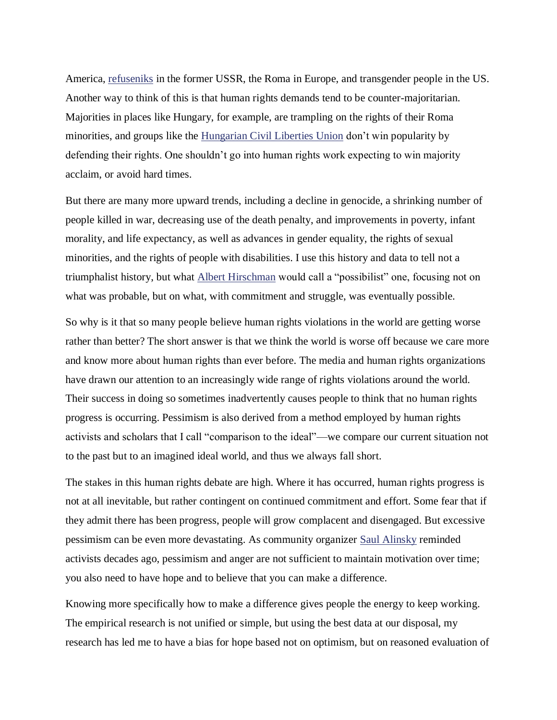America, <u>[refuseniks](http://www.yivoencyclopedia.org/article.aspx/Refuseniks)</u> in the former USSR, the Roma in Europe, and transgender people in the US. Another way to think of this is that human rights demands tend to be counter-majoritarian. Majorities in places like Hungary, for example, are trampling on the rights of their Roma minorities, and groups like the [Hungarian Civil Liberties Union](https://tasz.hu/en) don't win popularity by defending their rights. One shouldn't go into human rights work expecting to win majority acclaim, or avoid hard times.

But there are many more upward trends, including a decline in genocide, a shrinking number of people killed in war, decreasing use of the death penalty, and improvements in poverty, infant morality, and life expectancy, as well as advances in gender equality, the rights of sexual minorities, and the rights of people with disabilities. I use this history and data to tell not a triumphalist history, but what [Albert Hirschman](http://onlinelibrary.wiley.com/doi/10.1111/j.1467-7660.2008.00487.x/abstract) would call a "possibilist" one, focusing not on what was probable, but on what, with commitment and struggle, was eventually possible.

So why is it that so many people believe human rights violations in the world are getting worse rather than better? The short answer is that we think the world is worse off because we care more and know more about human rights than ever before. The media and human rights organizations have drawn our attention to an increasingly wide range of rights violations around the world. Their success in doing so sometimes inadvertently causes people to think that no human rights progress is occurring. Pessimism is also derived from a method employed by human rights activists and scholars that I call "comparison to the ideal"—we compare our current situation not to the past but to an imagined ideal world, and thus we always fall short.

The stakes in this human rights debate are high. Where it has occurred, human rights progress is not at all inevitable, but rather contingent on continued commitment and effort. Some fear that if they admit there has been progress, people will grow complacent and disengaged. But excessive pessimism can be even more devastating. As community organizer [Saul Alinsky](https://www.vox.com/2014/10/6/6829675/saul-alinsky-explain-obama-hillary-clinton-rodham-organizing) reminded activists decades ago, pessimism and anger are not sufficient to maintain motivation over time; you also need to have hope and to believe that you can make a difference.

Knowing more specifically how to make a difference gives people the energy to keep working. The empirical research is not unified or simple, but using the best data at our disposal, my research has led me to have a bias for hope based not on optimism, but on reasoned evaluation of